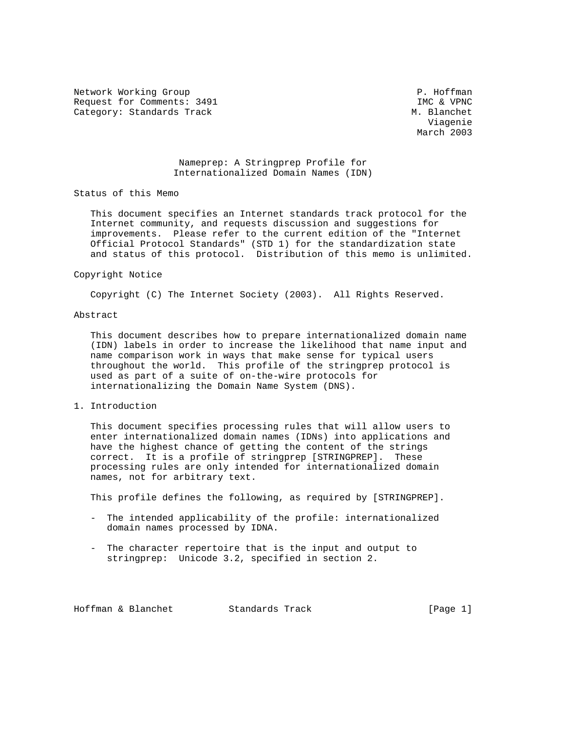Network Working Group **P. Hoffman** Request for Comments: 3491 IMC & VPNC Category: Standards Track M. Blanchet

 Viagenie March 2003

> Nameprep: A Stringprep Profile for Internationalized Domain Names (IDN)

Status of this Memo

 This document specifies an Internet standards track protocol for the Internet community, and requests discussion and suggestions for improvements. Please refer to the current edition of the "Internet Official Protocol Standards" (STD 1) for the standardization state and status of this protocol. Distribution of this memo is unlimited.

#### Copyright Notice

Copyright (C) The Internet Society (2003). All Rights Reserved.

# Abstract

 This document describes how to prepare internationalized domain name (IDN) labels in order to increase the likelihood that name input and name comparison work in ways that make sense for typical users throughout the world. This profile of the stringprep protocol is used as part of a suite of on-the-wire protocols for internationalizing the Domain Name System (DNS).

### 1. Introduction

 This document specifies processing rules that will allow users to enter internationalized domain names (IDNs) into applications and have the highest chance of getting the content of the strings correct. It is a profile of stringprep [STRINGPREP]. These processing rules are only intended for internationalized domain names, not for arbitrary text.

This profile defines the following, as required by [STRINGPREP].

- The intended applicability of the profile: internationalized domain names processed by IDNA.
- The character repertoire that is the input and output to stringprep: Unicode 3.2, specified in section 2.

Hoffman & Blanchet Standards Track [Page 1]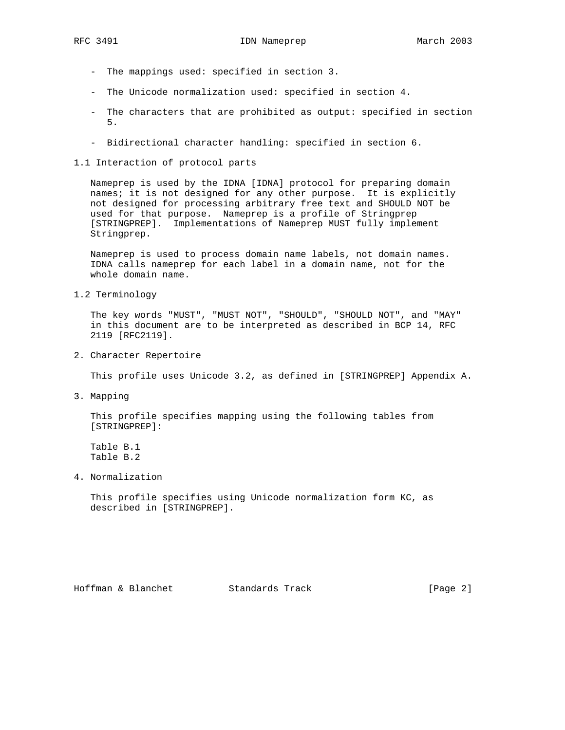- The mappings used: specified in section 3.
- The Unicode normalization used: specified in section 4.
- The characters that are prohibited as output: specified in section 5.
- Bidirectional character handling: specified in section 6.
- 1.1 Interaction of protocol parts

 Nameprep is used by the IDNA [IDNA] protocol for preparing domain names; it is not designed for any other purpose. It is explicitly not designed for processing arbitrary free text and SHOULD NOT be used for that purpose. Nameprep is a profile of Stringprep [STRINGPREP]. Implementations of Nameprep MUST fully implement Stringprep.

 Nameprep is used to process domain name labels, not domain names. IDNA calls nameprep for each label in a domain name, not for the whole domain name.

1.2 Terminology

 The key words "MUST", "MUST NOT", "SHOULD", "SHOULD NOT", and "MAY" in this document are to be interpreted as described in BCP 14, RFC 2119 [RFC2119].

2. Character Repertoire

This profile uses Unicode 3.2, as defined in [STRINGPREP] Appendix A.

3. Mapping

 This profile specifies mapping using the following tables from [STRINGPREP]:

 Table B.1 Table B.2

4. Normalization

 This profile specifies using Unicode normalization form KC, as described in [STRINGPREP].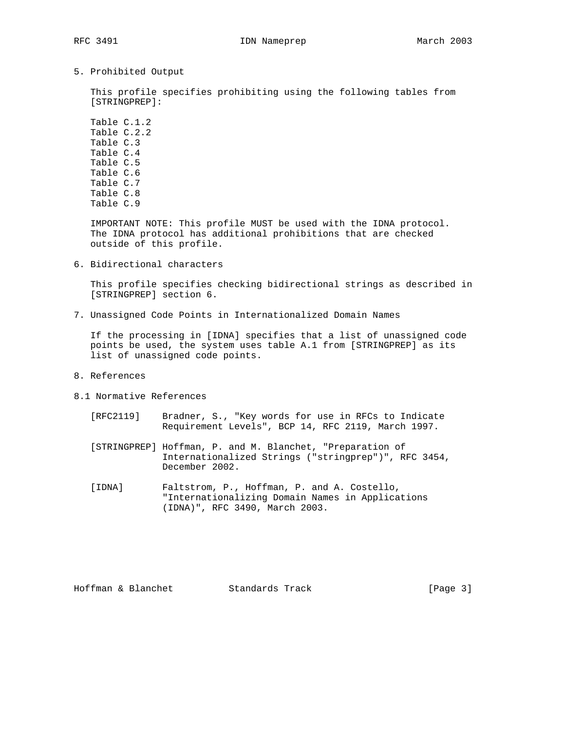5. Prohibited Output

 This profile specifies prohibiting using the following tables from [STRINGPREP]:

 Table C.1.2 Table C.2.2 Table C.3 Table C.4 Table C.5 Table C.6 Table C.7 Table C.8 Table C.9

 IMPORTANT NOTE: This profile MUST be used with the IDNA protocol. The IDNA protocol has additional prohibitions that are checked outside of this profile.

6. Bidirectional characters

 This profile specifies checking bidirectional strings as described in [STRINGPREP] section 6.

7. Unassigned Code Points in Internationalized Domain Names

 If the processing in [IDNA] specifies that a list of unassigned code points be used, the system uses table A.1 from [STRINGPREP] as its list of unassigned code points.

- 8. References
- 8.1 Normative References
	- [RFC2119] Bradner, S., "Key words for use in RFCs to Indicate Requirement Levels", BCP 14, RFC 2119, March 1997.
	- [STRINGPREP] Hoffman, P. and M. Blanchet, "Preparation of Internationalized Strings ("stringprep")", RFC 3454, December 2002.
	- [IDNA] Faltstrom, P., Hoffman, P. and A. Costello, "Internationalizing Domain Names in Applications (IDNA)", RFC 3490, March 2003.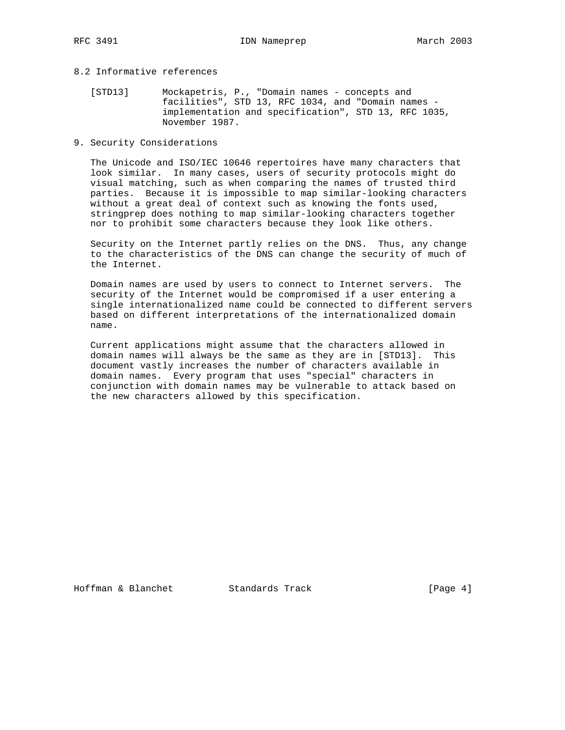# 8.2 Informative references

- [STD13] Mockapetris, P., "Domain names concepts and facilities", STD 13, RFC 1034, and "Domain names implementation and specification", STD 13, RFC 1035, November 1987.
- 9. Security Considerations

 The Unicode and ISO/IEC 10646 repertoires have many characters that look similar. In many cases, users of security protocols might do visual matching, such as when comparing the names of trusted third parties. Because it is impossible to map similar-looking characters without a great deal of context such as knowing the fonts used, stringprep does nothing to map similar-looking characters together nor to prohibit some characters because they look like others.

 Security on the Internet partly relies on the DNS. Thus, any change to the characteristics of the DNS can change the security of much of the Internet.

 Domain names are used by users to connect to Internet servers. The security of the Internet would be compromised if a user entering a single internationalized name could be connected to different servers based on different interpretations of the internationalized domain name.

 Current applications might assume that the characters allowed in domain names will always be the same as they are in [STD13]. This document vastly increases the number of characters available in domain names. Every program that uses "special" characters in conjunction with domain names may be vulnerable to attack based on the new characters allowed by this specification.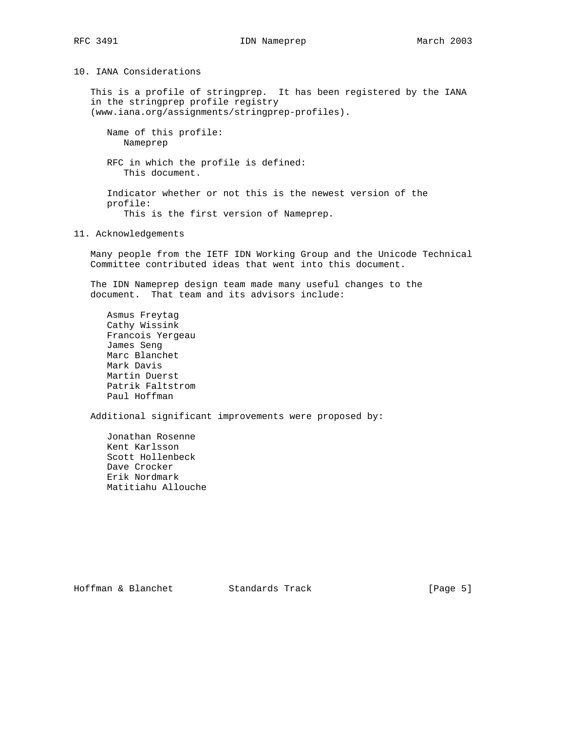10. IANA Considerations

 This is a profile of stringprep. It has been registered by the IANA in the stringprep profile registry (www.iana.org/assignments/stringprep-profiles).

 Name of this profile: Nameprep

 RFC in which the profile is defined: This document.

 Indicator whether or not this is the newest version of the profile: This is the first version of Nameprep.

11. Acknowledgements

 Many people from the IETF IDN Working Group and the Unicode Technical Committee contributed ideas that went into this document.

 The IDN Nameprep design team made many useful changes to the document. That team and its advisors include:

 Asmus Freytag Cathy Wissink Francois Yergeau James Seng Marc Blanchet Mark Davis Martin Duerst Patrik Faltstrom Paul Hoffman

Additional significant improvements were proposed by:

 Jonathan Rosenne Kent Karlsson Scott Hollenbeck Dave Crocker Erik Nordmark Matitiahu Allouche

Hoffman & Blanchet Standards Track [Page 5]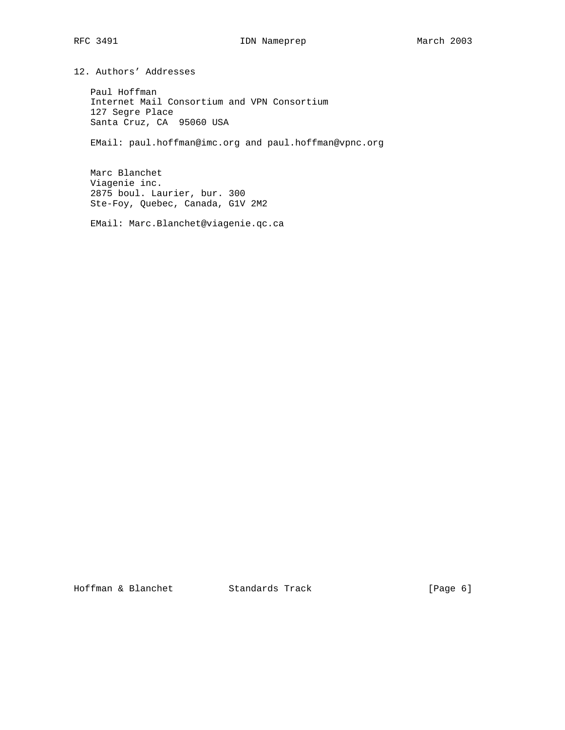12. Authors' Addresses

 Paul Hoffman Internet Mail Consortium and VPN Consortium 127 Segre Place Santa Cruz, CA 95060 USA

EMail: paul.hoffman@imc.org and paul.hoffman@vpnc.org

 Marc Blanchet Viagenie inc. 2875 boul. Laurier, bur. 300 Ste-Foy, Quebec, Canada, G1V 2M2

EMail: Marc.Blanchet@viagenie.qc.ca